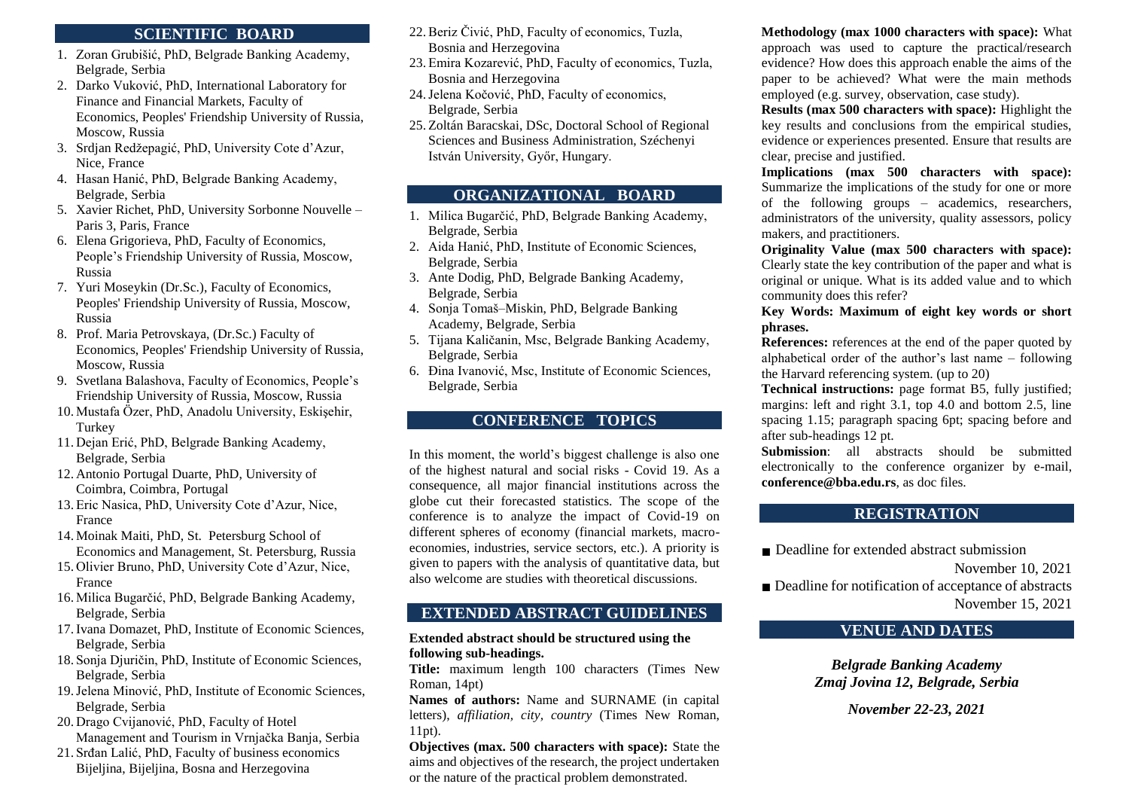### **SCIENTIFIC BOARD**

- 1. Zoran Grubišić, PhD, Belgrade Banking Academy, Belgrade, Serbia
- 2. Darko Vuković, PhD, International Laboratory for Finance and Financial Markets, Faculty of Economics, Peoples' Friendship University of Russia, Moscow, Russia
- 3. Srdjan Redžepagić, PhD, University Cote d'Azur, Nice, France
- 4. Hasan Hanić, PhD, Belgrade Banking Academy, Belgrade, Serbia
- 5. Xavier Richet, PhD, University Sorbonne Nouvelle Paris 3, Paris, France
- 6. Elena Grigorieva, PhD, Faculty of Economics, People's Friendship University of Russia, Moscow, Russia
- 7. Yuri Moseykin (Dr.Sc.), Faculty of Economics, Peoples' Friendship University of Russia, Moscow, Russia
- 8. Prof. Maria Petrovskaya, (Dr.Sc.) Faculty of Economics, Peoples' Friendship University of Russia, Moscow, Russia
- 9. Svetlana Balashova, Faculty of Economics, People's Friendship University of Russia, Moscow, Russia
- 10. Mustafa Özer, PhD, Anadolu University, Eskişehir, Turkey
- 11. Dejan Erić, PhD, Belgrade Banking Academy, Belgrade, Serbia
- 12. Antonio Portugal Duarte, PhD, University of Coimbra, Coimbra, Portugal
- 13. Eric Nasica, PhD, University Cote d'Azur, Nice, France
- 14. Moinak Maiti, PhD, St. Petersburg School of Economics and Management, St. Petersburg, Russia
- 15. Olivier Bruno, PhD, University Cote d'Azur, Nice, France
- 16. Milica Bugarčić, PhD, Belgrade Banking Academy, Belgrade, Serbia
- 17.Ivana Domazet, PhD, Institute of Economic Sciences, Belgrade, Serbia
- 18. Sonja Djuričin, PhD, Institute of Economic Sciences, Belgrade, Serbia
- 19.Jelena Minović, PhD, Institute of Economic Sciences, Belgrade, Serbia
- 20. Drago Cvijanović, PhD, [Faculty of Hotel](https://www.hit-vb.kg.ac.rs/en/index.php/12-welcome-to-the-faculty-of-hotel-management-and-tourism-in-vrnjacka-banja)  [Management and Tourism in Vrnjačka Banja,](https://www.hit-vb.kg.ac.rs/en/index.php/12-welcome-to-the-faculty-of-hotel-management-and-tourism-in-vrnjacka-banja) Serbia
- 21. Srđan Lalić, PhD, Faculty of business economics Bijeljina, Bijeljina, Bosna and Herzegovina
- 22.Beriz Čivić, PhD, Faculty of economics, Tuzla, Bosnia and Herzegovina
- 23. Emira Kozarević, PhD, Faculty of economics, Tuzla, Bosnia and Herzegovina
- 24.Jelena Kočović, PhD, Faculty of economics, Belgrade, Serbia
- 25. Zoltán Baracskai, DSc, Doctoral School of Regional Sciences and Business Administration, Széchenyi István University, Győr, Hungary.

## **ORGANIZATIONAL BOARD**

- 1. Milica Bugarčić, PhD, Belgrade Banking Academy, Belgrade, Serbia
- 2. Aida Hanić, PhD, Institute of Economic Sciences, Belgrade, Serbia
- 3. Ante Dodig, PhD, Belgrade Banking Academy, Belgrade, Serbia
- 4. Sonja Tomaš–Miskin, PhD, Belgrade Banking Academy, Belgrade, Serbia
- 5. Tijana Kaličanin, Msc, Belgrade Banking Academy, Belgrade, Serbia
- 6. Đina Ivanović, Msc, Institute of Economic Sciences, Belgrade, Serbia

### **CONFERENCE TOPICS**

In this moment, the world's biggest challenge is also one of the highest natural and social risks - Covid 19. As a consequence, all major financial institutions across the globe cut their forecasted statistics. The scope of the conference is to analyze the impact of Covid-19 on different spheres of economy (financial markets, macroeconomies, industries, service sectors, etc.). A priority is given to papers with the analysis of quantitative data, but also welcome are studies with theoretical discussions.

### **EXTENDED ABSTRACT GUIDELINES**

### **Extended abstract should be structured using the following sub-headings.**

**Title:** maximum length 100 characters (Times New Roman, 14pt)

**Names of authors:** Name and SURNAME (in capital letters), *affiliation, city, country* (Times New Roman, 11pt).

**Objectives (max. 500 characters with space):** State the aims and objectives of the research, the project undertaken or the nature of the practical problem demonstrated.

**Methodology (max 1000 characters with space):** What approach was used to capture the practical/research evidence? How does this approach enable the aims of the paper to be achieved? What were the main methods employed (e.g. survey, observation, case study).

**Results (max 500 characters with space):** Highlight the key results and conclusions from the empirical studies, evidence or experiences presented. Ensure that results are clear, precise and justified.

**Implications (max 500 characters with space):**  Summarize the implications of the study for one or more of the following groups – academics, researchers, administrators of the university, quality assessors, policy makers, and practitioners.

**Originality Value (max 500 characters with space):**  Clearly state the key contribution of the paper and what is original or unique. What is its added value and to which community does this refer?

**Key Words: Maximum of eight key words or short phrases.** 

**References:** references at the end of the paper quoted by alphabetical order of the author's last name – following the Harvard referencing system. (up to 20)

**Technical instructions:** page format B5, fully justified; margins: left and right 3.1, top 4.0 and bottom 2.5, line spacing 1.15; paragraph spacing 6pt; spacing before and after sub-headings 12 pt.

**Submission**: all abstracts should be submitted electronically to the conference organizer by e-mail, **conference@bba.edu.rs**, as doc files.

## **REGISTRATION**

■ Deadline for extended abstract submission

November 10, 2021

■ Deadline for notification of acceptance of abstracts November 15, 2021

## **VENUE AND DATES**

*Belgrade Banking Academy Zmaj Jovina 12, Belgrade, Serbia*

*November 22-23, 2021*